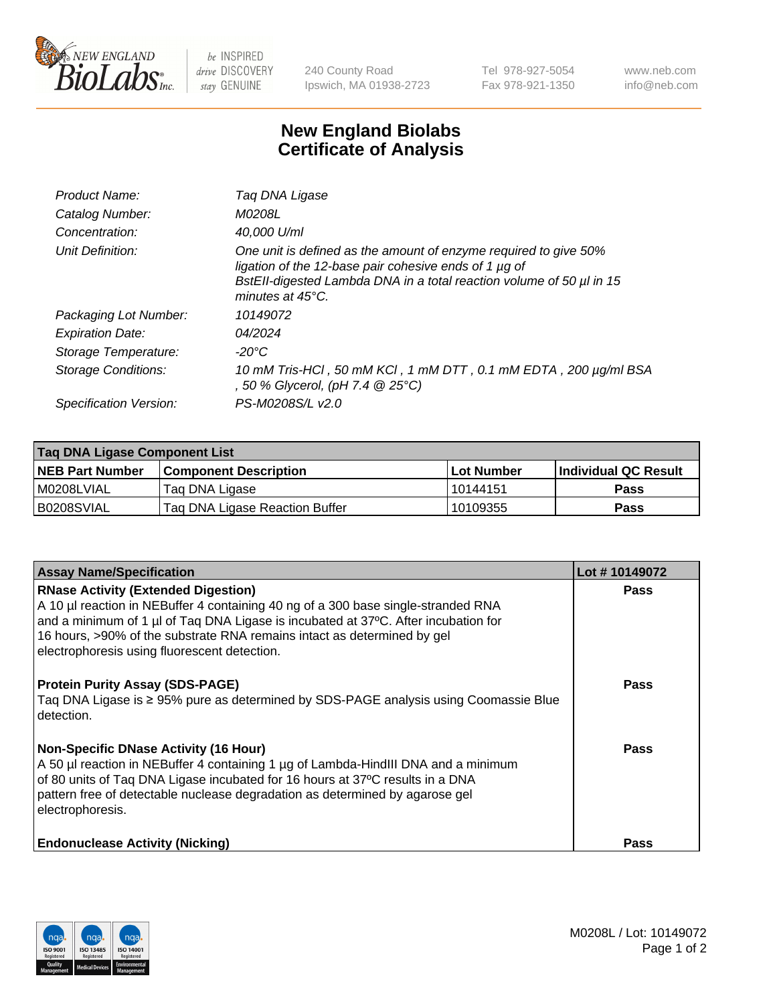

 $be$  INSPIRED drive DISCOVERY stay GENUINE

240 County Road Ipswich, MA 01938-2723 Tel 978-927-5054 Fax 978-921-1350 www.neb.com info@neb.com

## **New England Biolabs Certificate of Analysis**

| Product Name:              | Taq DNA Ligase                                                                                                                                                                                                                  |
|----------------------------|---------------------------------------------------------------------------------------------------------------------------------------------------------------------------------------------------------------------------------|
| Catalog Number:            | M0208L                                                                                                                                                                                                                          |
| Concentration:             | 40,000 U/ml                                                                                                                                                                                                                     |
| Unit Definition:           | One unit is defined as the amount of enzyme required to give 50%<br>ligation of the 12-base pair cohesive ends of 1 µg of<br>BstEll-digested Lambda DNA in a total reaction volume of 50 µl in 15<br>minutes at $45^{\circ}$ C. |
| Packaging Lot Number:      | 10149072                                                                                                                                                                                                                        |
| <b>Expiration Date:</b>    | 04/2024                                                                                                                                                                                                                         |
| Storage Temperature:       | -20°C                                                                                                                                                                                                                           |
| <b>Storage Conditions:</b> | 10 mM Tris-HCl, 50 mM KCl, 1 mM DTT, 0.1 mM EDTA, 200 µg/ml BSA<br>, 50 % Glycerol, (pH 7.4 @ 25°C)                                                                                                                             |
| Specification Version:     | PS-M0208S/L v2.0                                                                                                                                                                                                                |

| Taq DNA Ligase Component List |                                |            |                      |  |
|-------------------------------|--------------------------------|------------|----------------------|--|
| <b>NEB Part Number</b>        | <b>Component Description</b>   | Lot Number | Individual QC Result |  |
| M0208LVIAL                    | Tag DNA Ligase                 | 10144151   | <b>Pass</b>          |  |
| B0208SVIAL                    | Taq DNA Ligase Reaction Buffer | 10109355   | Pass                 |  |

| <b>Assay Name/Specification</b>                                                                                                                                                                                                                                                                                                                  | Lot #10149072 |
|--------------------------------------------------------------------------------------------------------------------------------------------------------------------------------------------------------------------------------------------------------------------------------------------------------------------------------------------------|---------------|
| <b>RNase Activity (Extended Digestion)</b><br>A 10 µl reaction in NEBuffer 4 containing 40 ng of a 300 base single-stranded RNA<br>and a minimum of 1 µl of Taq DNA Ligase is incubated at 37°C. After incubation for<br>16 hours, >90% of the substrate RNA remains intact as determined by gel<br>electrophoresis using fluorescent detection. | <b>Pass</b>   |
| <b>Protein Purity Assay (SDS-PAGE)</b><br>Taq DNA Ligase is ≥ 95% pure as determined by SDS-PAGE analysis using Coomassie Blue<br>detection.                                                                                                                                                                                                     | <b>Pass</b>   |
| <b>Non-Specific DNase Activity (16 Hour)</b><br>A 50 µl reaction in NEBuffer 4 containing 1 µg of Lambda-HindIII DNA and a minimum<br>of 80 units of Taq DNA Ligase incubated for 16 hours at 37°C results in a DNA<br>pattern free of detectable nuclease degradation as determined by agarose gel<br>electrophoresis.                          | Pass          |
| <b>Endonuclease Activity (Nicking)</b>                                                                                                                                                                                                                                                                                                           | <b>Pass</b>   |